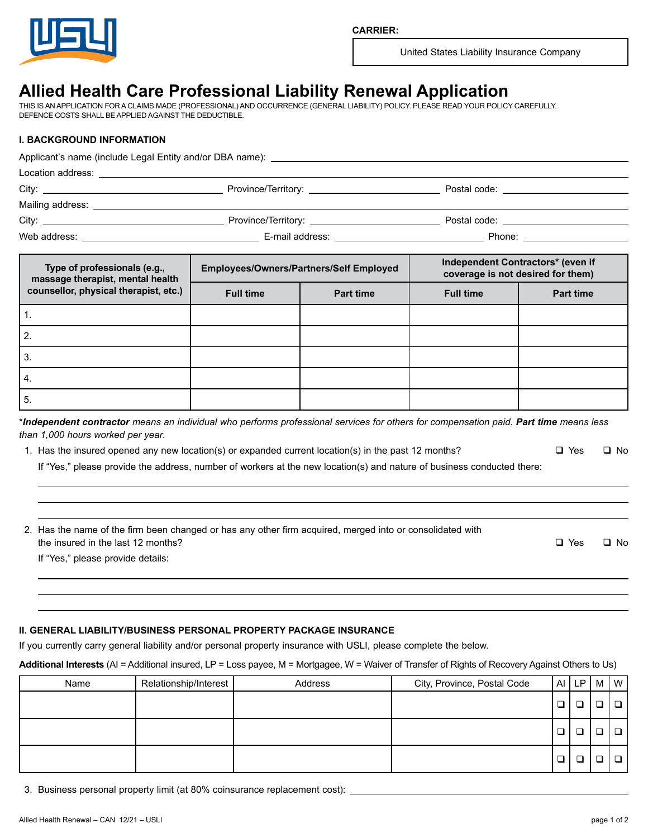

United States Liability Insurance Company

# **Allied Health Care Professional Liability Renewal Application**

THIS IS AN APPLICATION FOR A CLAIMS MADE (PROFESSIONAL) AND OCCURRENCE (GENERAL LIABILITY) POLICY. PLEASE READ YOUR POLICY CAREFULLY. DEFENCE COSTS SHALL BE APPLIED AGAINST THE DEDUCTIBLE.

## **I. BACKGROUND INFORMATION**

|  | Postal code: <u>_________________________</u>                                                                                                                                                                                  |  |
|--|--------------------------------------------------------------------------------------------------------------------------------------------------------------------------------------------------------------------------------|--|
|  |                                                                                                                                                                                                                                |  |
|  | Postal code: will be a series of the series of the series of the series of the series of the series of the series of the series of the series of the series of the series of the series of the series of the series of the ser |  |
|  | Phone: _______________________                                                                                                                                                                                                 |  |

| Type of professionals (e.g.,<br>massage therapist, mental health | <b>Employees/Owners/Partners/Self Employed</b> |                  | Independent Contractors* (even if<br>coverage is not desired for them) |                  |  |  |
|------------------------------------------------------------------|------------------------------------------------|------------------|------------------------------------------------------------------------|------------------|--|--|
| counsellor, physical therapist, etc.)                            | <b>Full time</b>                               | <b>Part time</b> | <b>Full time</b>                                                       | <b>Part time</b> |  |  |
|                                                                  |                                                |                  |                                                                        |                  |  |  |
| 2.                                                               |                                                |                  |                                                                        |                  |  |  |
| 3.                                                               |                                                |                  |                                                                        |                  |  |  |
| 4.                                                               |                                                |                  |                                                                        |                  |  |  |
| 5.                                                               |                                                |                  |                                                                        |                  |  |  |

\**Independent contractor means an individual who performs professional services for others for compensation paid. Part time means less than 1,000 hours worked per year.*

1. Has the insured opened any new location(s) or expanded current location(s) in the past 12 months?  $\square$  Yes  $\square$  No

If "Yes," please provide the address, number of workers at the new location(s) and nature of business conducted there:

| 2. Has the name of the firm been changed or has any other firm acquired, merged into or consolidated with |            |              |
|-----------------------------------------------------------------------------------------------------------|------------|--------------|
| the insured in the last 12 months?                                                                        | $\Box$ Yes | $\square$ No |
| If "Yes," please provide details:                                                                         |            |              |

### **II. GENERAL LIABILITY/BUSINESS PERSONAL PROPERTY PACKAGE INSURANCE**

If you currently carry general liability and/or personal property insurance with USLI, please complete the below.

#### **Additional Interests** (AI = Additional insured, LP = Loss payee, M = Mortgagee, W = Waiver of Transfer of Rights of Recovery Against Others to Us)

| Name | Relationship/Interest | Address | City, Province, Postal Code | Al | LP | M | $\mathsf{I} \mathsf{w}$ |
|------|-----------------------|---------|-----------------------------|----|----|---|-------------------------|
|      |                       |         |                             |    |    |   |                         |
|      |                       |         |                             |    | ⊐  |   |                         |
|      |                       |         |                             |    |    |   |                         |

3. Business personal property limit (at 80% coinsurance replacement cost):